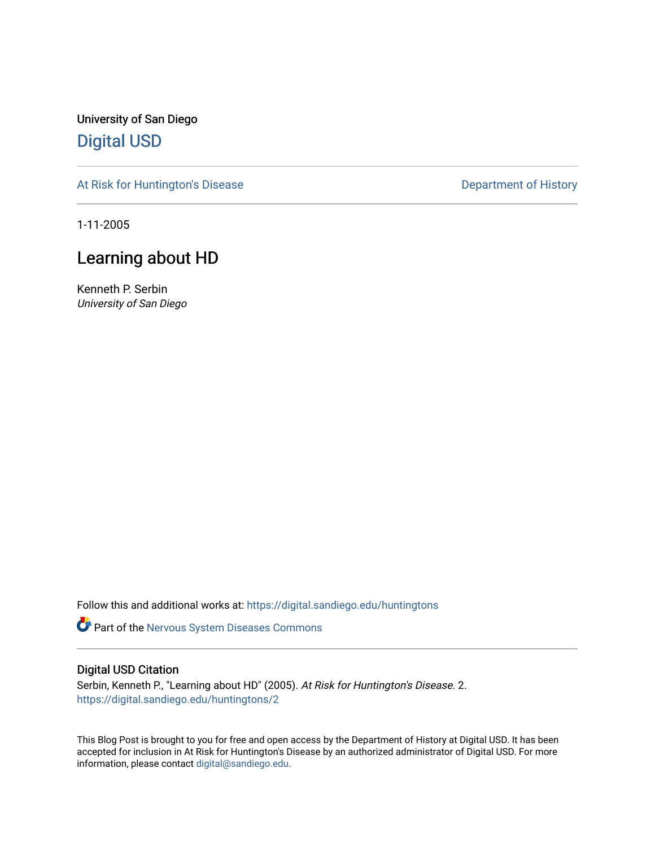University of San Diego [Digital USD](https://digital.sandiego.edu/)

[At Risk for Huntington's Disease](https://digital.sandiego.edu/huntingtons) **Department of History** Department of History

1-11-2005

## Learning about HD

Kenneth P. Serbin University of San Diego

Follow this and additional works at: [https://digital.sandiego.edu/huntingtons](https://digital.sandiego.edu/huntingtons?utm_source=digital.sandiego.edu%2Fhuntingtons%2F2&utm_medium=PDF&utm_campaign=PDFCoverPages)

**Part of the [Nervous System Diseases Commons](http://network.bepress.com/hgg/discipline/928?utm_source=digital.sandiego.edu%2Fhuntingtons%2F2&utm_medium=PDF&utm_campaign=PDFCoverPages)** 

#### Digital USD Citation

Serbin, Kenneth P., "Learning about HD" (2005). At Risk for Huntington's Disease. 2. [https://digital.sandiego.edu/huntingtons/2](https://digital.sandiego.edu/huntingtons/2?utm_source=digital.sandiego.edu%2Fhuntingtons%2F2&utm_medium=PDF&utm_campaign=PDFCoverPages) 

This Blog Post is brought to you for free and open access by the Department of History at Digital USD. It has been accepted for inclusion in At Risk for Huntington's Disease by an authorized administrator of Digital USD. For more information, please contact [digital@sandiego.edu.](mailto:digital@sandiego.edu)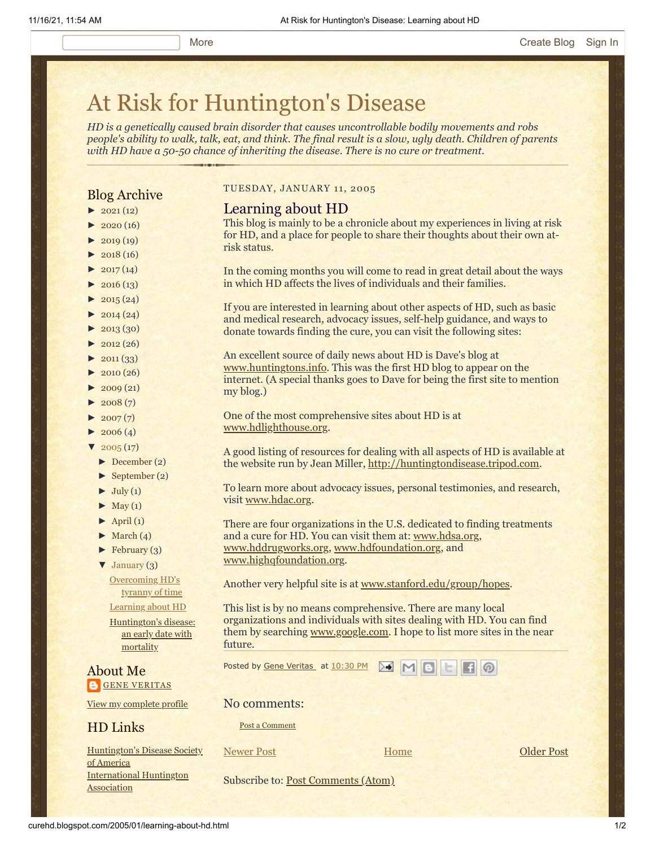# [At Risk for Huntington's Disease](http://curehd.blogspot.com/)

*HD is a genetically caused brain disorder that causes uncontrollable bodily movements and robs people's ability to walk, talk, eat, and think. The final result is a slow, ugly death. Children of parents with HD have a 50-50 chance of inheriting the disease. There is no cure or treatment.*

#### Blog Archive

- $\blacktriangleright$  [2021](http://curehd.blogspot.com/2021/)(12)
- $2020(16)$  $2020(16)$
- $\blacktriangleright$  [2019](http://curehd.blogspot.com/2019/) (19)
- $\blacktriangleright$  [2018](http://curehd.blogspot.com/2018/) (16)
- $\blacktriangleright$  [2017](http://curehd.blogspot.com/2017/) (14)
- $\blacktriangleright$  [2016](http://curehd.blogspot.com/2016/) (13)
- $\blacktriangleright$  [2015](http://curehd.blogspot.com/2015/) (24)
- $\blacktriangleright$  [2014](http://curehd.blogspot.com/2014/) (24)
- $\blacktriangleright$  [2013](http://curehd.blogspot.com/2013/) (30)
- $\blacktriangleright$  [2012](http://curehd.blogspot.com/2012/) (26)
- $\blacktriangleright$  [2011](http://curehd.blogspot.com/2011/) (33)
- $\blacktriangleright$  [2010](http://curehd.blogspot.com/2010/) (26)
- $\blacktriangleright$  [2009](http://curehd.blogspot.com/2009/) (21)
- $\blacktriangleright$  [2008](http://curehd.blogspot.com/2008/) $(7)$
- $\blacktriangleright$  [2007](http://curehd.blogspot.com/2007/) $(7)$
- $\blacktriangleright$  [2006](http://curehd.blogspot.com/2006/) (4)
- $\sqrt{2005(17)}$  $\sqrt{2005(17)}$  $\sqrt{2005(17)}$ 
	- [►](javascript:void(0)) [December](http://curehd.blogspot.com/2005/12/) (2)
	- [►](javascript:void(0)) [September](http://curehd.blogspot.com/2005/09/) (2)
	- $\blacktriangleright$  [July](http://curehd.blogspot.com/2005/07/) (1)
	- $\blacktriangleright$  [May](http://curehd.blogspot.com/2005/05/) (1)
	- $\blacktriangleright$  [April](http://curehd.blogspot.com/2005/04/) (1)
	- $\blacktriangleright$  [March](http://curehd.blogspot.com/2005/03/) (4)
	- $\blacktriangleright$  [February](http://curehd.blogspot.com/2005/02/) (3)
	- [▼](javascript:void(0)) [January](http://curehd.blogspot.com/2005/01/) (3)

[Overcoming](http://curehd.blogspot.com/2005/01/overcoming-hds-tyranny-of-time.html) HD's tyranny of time [Learning](http://curehd.blogspot.com/2005/01/learning-about-hd.html) about HD [Huntington's](http://curehd.blogspot.com/2005/01/huntingtons-disease-early-date-with.html) disease: an early date with

mortality

About Me **GENE [VERITAS](https://www.blogger.com/profile/10911736205741688185)** 

View my [complete](https://www.blogger.com/profile/10911736205741688185) profile

#### HD Links

[Huntington's](http://www.hdsa.org/) Disease Society of America [International](http://www.huntington-assoc.com/) Huntington Association

TUESDAY, JANUARY 11, 2005

#### Learning about HD

This blog is mainly to be a chronicle about my experiences in living at risk for HD, and a place for people to share their thoughts about their own atrisk status.

In the coming months you will come to read in great detail about the ways in which HD affects the lives of individuals and their families.

If you are interested in learning about other aspects of HD, such as basic and medical research, advocacy issues, self-help guidance, and ways to donate towards finding the cure, you can visit the following sites:

An excellent source of daily news about HD is Dave's blog at [www.huntingtons.info.](http://www.huntingtons.info/) This was the first HD blog to appear on the internet. (A special thanks goes to Dave for being the first site to mention my blog.)

One of the most comprehensive sites about HD is at [www.hdlighthouse.org](http://www.hdlighthouse.org/).

A good listing of resources for dealing with all aspects of HD is available at the website run by Jean Miller, [http://huntingtondisease.tripod.com](http://huntingtondisease.tripod.com/).

To learn more about advocacy issues, personal testimonies, and research, visit [www.hdac.org.](http://www.hdac.org/)

There are four organizations in the U.S. dedicated to finding treatments and a cure for HD. You can visit them at: [www.hdsa.org,](http://www.hdsa.org/) [www.hddrugworks.org](http://www.hddrugworks.org/), [www.hdfoundation.org](http://www.hdfoundation.org/), and [www.highqfoundation.org](http://www.highqfoundation.org/).

Another very helpful site is at [www.stanford.edu/group/hopes.](http://www.stanford.edu/group/hopes)

This list is by no means comprehensive. There are many local organizations and individuals with sites dealing with HD. You can find them by searching [www.google.com.](http://www.google.com/) I hope to list more sites in the near future.

Posted by Gene [Veritas](https://www.blogger.com/profile/03599828959793084715) at [10:30](http://curehd.blogspot.com/2005/01/learning-about-hd.html) PM

No comments:

Post a [Comment](https://www.blogger.com/comment.g?blogID=10081281&postID=110551224459998537&isPopup=true)

[Newer Post](http://curehd.blogspot.com/2005/01/overcoming-hds-tyranny-of-time.html) **Newer Post COLDER POST** 

**[Home](http://curehd.blogspot.com/)** 

Subscribe to: [Post Comments \(Atom\)](http://curehd.blogspot.com/feeds/110551224459998537/comments/default)